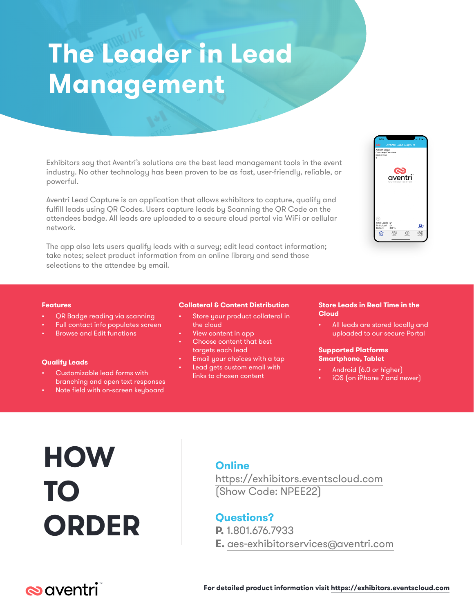# **The Leader in Lead Management**

Exhibitors say that Aventri's solutions are the best lead management tools in the event industry. No other technology has been proven to be as fast, user-friendly, reliable, or powerful.

Aventri Lead Capture is an application that allows exhibitors to capture, qualify and fulfill leads using QR Codes. Users capture leads by Scanning the QR Code on the attendees badge. All leads are uploaded to a secure cloud portal via WiFi or cellular network.

The app also lets users qualify leads with a survey; edit lead contact information; take notes; select product information from an online library and send those selections to the attendee by email.



#### **Features**

- QR Badge reading via scanning
- Full contact info populates screen
- Browse and Edit functions

#### **Qualify Leads**

- Customizable lead forms with branching and open text responses
- Note field with on-screen keyboard

#### **Collateral & Content Distribution**

- Store your product collateral in the cloud
- View content in app
- Choose content that best targets each lead
- Email your choices with a tap Lead gets custom email with
- links to chosen content

#### **Store Leads in Real Time in the Cloud**

All leads are stored locally and uploaded to our secure Portal

#### **Supported Platforms Smartphone, Tablet**

- Android (6.0 or higher)
- iOS (on iPhone 7 and newer)

# **HOW TO ORDER**

### **Online**

https://exhibitors.eventscloud.com (Show Code: NPEE22)

### **Questions?**

**P.** 1.801.676.7933

**E.** aes-exhibitorservices@aventri.com

## $\infty$ aventri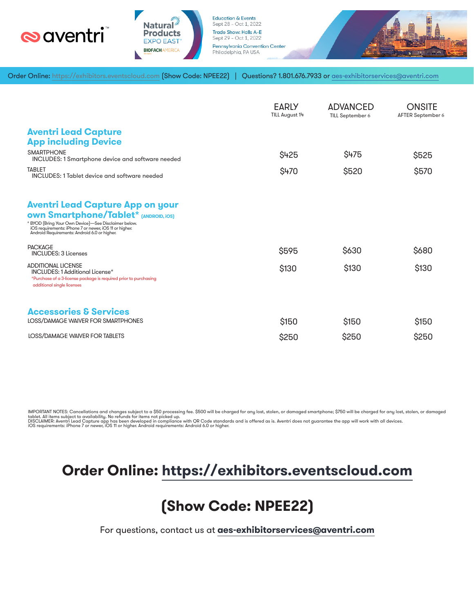



**Education & Events** Sept 28 - Oct 1, 2022 **Trade Show: Halls A-E** Sept 29 - Oct 1, 2022 Pennsylvania Convention Center Philadelphia, PA USA



Order Online: https://exhibitors.eventscloud.com [Show Code: NPEE22] | Questions? 1.801.676.7933 or aes-exhibitorservices@aventri.com

|                                                                                                                                                                                                                                                           | <b>EARLY</b><br>TILL August 14 | <b>ADVANCED</b><br>TILL September 6 | <b>ONSITE</b><br>AFTER September 6 |
|-----------------------------------------------------------------------------------------------------------------------------------------------------------------------------------------------------------------------------------------------------------|--------------------------------|-------------------------------------|------------------------------------|
| <b>Aventri Lead Capture</b><br><b>App including Device</b>                                                                                                                                                                                                |                                |                                     |                                    |
| <b>SMARTPHONE</b><br><b>INCLUDES: 1 Smartphone device and software needed</b>                                                                                                                                                                             | \$425                          | \$475                               | \$525                              |
| <b>TABLET</b><br>INCLUDES: 1 Tablet device and software needed                                                                                                                                                                                            | \$470                          | \$520                               | \$570                              |
| <b>Aventri Lead Capture App on your</b><br><b>own Smartphone/Tablet*</b> [ANDROID, iOS]<br>* BYOD (Bring Your Own Device)-See Disclaimer below.<br>iOS requirements: iPhone 7 or newer, iOS 11 or higher.<br>Android Requirements: Android 6.0 or higher. |                                |                                     |                                    |
| <b>PACKAGE</b><br><b>INCLUDES: 3 Licenses</b>                                                                                                                                                                                                             | \$595                          | \$630                               | \$680                              |
| <b>ADDITIONAL LICENSE</b><br>INCLUDES: 1 Additional License*<br>*Purchase of a 3-license package is required prior to purchasing<br>additional single licenses                                                                                            | \$130                          | \$130                               | \$130                              |
| <b>Accessories &amp; Services</b><br>LOSS/DAMAGE WAIVER FOR SMARTPHONES                                                                                                                                                                                   | \$150                          | \$150                               | \$150                              |
| <b>LOSS/DAMAGE WAIVER FOR TABLETS</b>                                                                                                                                                                                                                     | \$250                          | \$250                               | \$250                              |

IMPORTANT NOTES: Cancellations and changes subject to a \$50 processing fee. \$500 will be charged for any lost, stolen, or damaged smartphone; \$750 will be charged for any lost, stolen, or damaged<br>tablet. All items subject

### **Order Online: https://exhibitors.eventscloud.com**

## **(Show Code: NPEE22)**

For questions, contact us at **aes-exhibitorservices@aventri.com**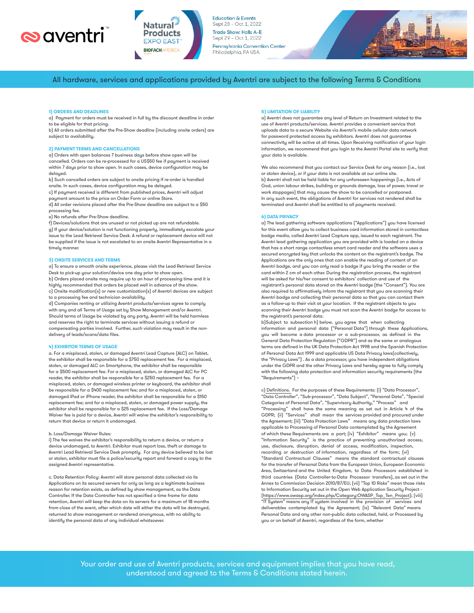



**Education & Events** Sept 28 - Oct 1, 2022 Trade Show: Halls A-E Sept 29 - Oct 1, 2022 **Pennsylvania Convention Center** Philadelphia, PA USA



All hardware, services and applications provided by Aventri are subject to the following Terms & Conditions

#### **1) ORDERS AND DEADLINES**

a) Payment for orders must be received in full by the discount deadline in order to be eligible for that pricing.

b) All orders submitted after the Pre-Show deadline (including onsite orders) are subject to availability.

#### **2) PAYMENT TERMS AND CANCELLATIONS**

a) Orders with open balances 7 business days before show open will be cancelled. Orders can be re-processed for a US\$50 fee if payment is received within 7 days prior to show open. In such cases, device configuration may be delaued.

b) Such cancelled orders are subject to onsite pricing if re-order is handled onsite. In such cases, device configuration may be delayed.

c) If payment received is different from published prices, Aventri will adjust payment amount to the price on Order Form or online Store.

d) All order revisions placed after the Pre-Show deadline are subject to a \$50 processing fee.

e) No refunds after Pre-Show deadline.

f) Devices/solutions that are unused or not picked up are not refundable. g) If your device/solution is not functioning properly, immediately escalate your issue to the Lead Retrieval Service Desk. A refund or replacement device will not be supplied if the issue is not escalated to an onsite Aventri Representative in a timely manner.

#### **3) ONSITE SERVICES AND TERMS**

a) To ensure a smooth onsite experience, please visit the Lead Retrieval Service Desk to pick-up your solution/device one day prior to show open. b) Orders placed onsite may require up to an hour of processing time and it is highly recommended that orders be placed well in advance of the show. c) Onsite modification(s) or new customization(s) of Aventri devices are subject to a processing fee and technician availability.

d) Companies renting or utilizing Aventri products/services agree to comply with any and all Terms of Usage set by Show Management and/or Aventri. Should terms of Usage be violated by any party, Aventri will be held harmless and reserves the right to terminate services without issuing a refund or compensating parties involved. Further, such violation may result in the nondelivery of leads/scans/data files.

#### **4) EXHIBITOR TERMS OF USAGE**

a. For a misplaced, stolen, or damaged Aventri Lead Capture (ALC) on Tablet, the exhibitor shall be responsible for a \$750 replacement fee. For a misplaced, stolen, or damaged ALC on Smartphone, the exhibitor shall be responsible for a \$500 replacement fee. For a misplaced, stolen, or damaged ALC for PC reader, the exhibitor shall be responsible for a \$250 replacement fee. For a misplaced, stolen, or damaged wireless printer or keyboard, the exhibitor shall be responsible for a \$400 replacement fee; and for a misplaced, stolen, or damaged iPad or iPhone reader, the exhibitor shall be responsible for a \$150 replacement fee; and for a misplaced, stolen, or damaged power supply, the exhibitor shall be responsible for a \$25 replacement fee. If the Loss/Damage Waiver fee is paid for a device, Aventri will waive the exhibitor's responsibility to return that device or return it undamaged.

#### b. Loss/Damage Waiver Rules:

i) The fee waives the exhibitor's responsibility to return a device, or return a device undamaged, to Aventri. Exhibitor must report loss, theft or damage to Aventri Lead Retrieval Service Desk promptly. For any device believed to be lost or stolen, exhibitor must file a police/security report and forward a copy to the assigned Aventri representative.

c. Data Retention Policy: Aventri will store personal data collected via its Applications on its secured servers for only as long as a legitimate business reason for retention exists, as defined by show management, as the Data Controller. If the Data Controller has not specified a time frame for data retention, Aventri will keep the data on its servers for a maximum of 18 months from close of the event, after which date will either the data will be destroyed, returned to show management or rendered anonymous, with no ability to identify the personal data of any individual whatsoever.

#### **5) LIMITATION OF LIABILITY**

a) Aventri does not guarantee any level of Return on Investment related to the use of Aventri products/services. Aventri provides a convenient service that uploads data to a secure Website via Aventri's mobile cellular data network for password protected access by exhibitors. Aventri does not guarantee connectivity will be active at all times. Upon Receiving notification of your login information, we recommend that you login to the Aventri Portal site to verify that your data is available.

We also recommend that you contact our Service Desk for any reason (i.e., lost or stolen device), or if your data is not available at our online site. b) Aventri shall not be held liable for any unforeseen happenings (i.e., Acts of God, union labour strikes, building or grounds damage, loss of power, travel or work stoppages) that may cause the show to be cancelled or postponed. In any such event, the obligations of Aventri for services not rendered shall be terminated and Aventri shall be entitled to all payments received.

#### **6) DATA PRIVACY**

a) The lead gathering software applications ("Applications") you have licensed for this event allow you to collect business card information stored in contactless badge media, called Aventri Lead Capture app, issued to each registrant. The Aventri lead gathering application you are provided with is loaded on a device that has a short range contactless smart card reader and the software uses a secured encrypted key that unlocks the content on the registrant's badge. The Applications are the only ones that can enable the reading of content of an Aventri badge, and you can only read a badge if you bring the reader or the card within 2 cm of each other. During the registration process, the registrant will be asked for his/her consent to exhibitors' collection and use of the registrant's personal data stored on the Aventri badge (the "Consent"). You are also required to affirmatively inform the registrant that you are scanning their Aventri badge and collecting their personal data so that you can contact them as a follow-up to their visit at your location. If the registrant objects to you scanning their Aventri badge you must not scan the Aventri badge for access to the registrant's personal data.

b)Subject to subsection h) below, you agree that when collecting information and personal data ("Personal Data") through these Applications, you will become a data processor or a sub-processor, as defined in the General Data Protection Regulation ("GDPR") and as the same or analogous terms are defined in the UK Data Protection Act 1998 and the Spanish Protection of Personal Data Act 1999 and applicable US Data Privacy laws(collectively, the "Privacy Laws") . As a data processor, you have independent obligations under the GDPR and the other Privacy Laws and hereby agree to fully comply with the following data protection and information security requirements (the "Requirements") –

c) Definitions. For the purposes of these Requirements: (i) "Data Processor", "Data Controller", "Sub-processor", "Data Subject", "Personal Data", "Special Categories of Personal Data", "Supervisory Authority," "Process" and "Processing" shall have the same meaning as set out in Article 4 of the GDPR; (ii) "Services" shall mean the services provided and procured under the Agreement; (iii) "Data Protection Laws" means any data protection laws applicable to Processing of Personal Data contemplated by the Agreement of which these Requirements are a part; (iv) "Exhibitor" means you; (v) "Information Security" is the practice of preventing unauthorized access, use, disclosure, disruption, denial of access, modification, inspection, recording or destruction of information, regardless of the form; (vi) "Standard Contractual Clauses" means the standard contractual clauses for the transfer of Personal Data from the European Union, European Economic Area, Switzerland and the United Kingdom, to Data Processors established in third countries (Data Controller-to-Data Processor transfers), as set out in the Annex to Commission Decision 2010/87/EU; (vii) "Top 10 Risks" mean those risks to Information Security set out in the Open Web Application Security Project - (https://www.owasp.org/index.php/Category:OWASP\_Top\_Ten\_Project); (viii) "IT System" means any IT system involved in the provision of services and deliverables contemplated by the Agreement; (ix) "Relevant Data" means Personal Data and any other non-public data collected, held, or Processed by you or on behalf of Aventri, regardless of the form, whether

 Your order and use of Aventri products, services and equipment implies that you have read, understood and agreed to the Terms & Conditions stated herein.